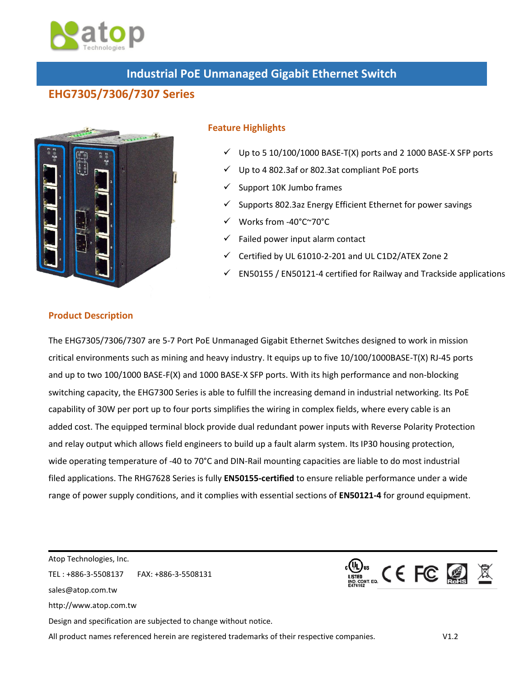

## **Industrial PoE Unmanaged Gigabit Ethernet Switch**

## **EHG7305/7306/7307 Series**



## **Feature Highlights**

- Up to 5 10/100/1000 BASE-T(X) ports and 2 1000 BASE-X SFP ports
- Up to 4 802.3af or 802.3at compliant PoE ports
- Support 10K Jumbo frames
- Supports 802.3az Energy Efficient Ethernet for power savings
- Works from -40°C~70°C
- Failed power input alarm contact
- Certified by UL 61010-2-201 and UL C1D2/ATEX Zone 2
- EN50155 / EN50121-4 certified for Railway and Trackside applications

## **Product Description**

The EHG7305/7306/7307 are 5-7 Port PoE Unmanaged Gigabit Ethernet Switches designed to work in mission critical environments such as mining and heavy industry. It equips up to five 10/100/1000BASE-T(X) RJ-45 ports and up to two 100/1000 BASE-F(X) and 1000 BASE-X SFP ports. With its high performance and non-blocking switching capacity, the EHG7300 Series is able to fulfill the increasing demand in industrial networking. Its PoE capability of 30W per port up to four ports simplifies the wiring in complex fields, where every cable is an added cost. The equipped terminal block provide dual redundant power inputs with Reverse Polarity Protection and relay output which allows field engineers to build up a fault alarm system. Its IP30 housing protection, wide operating temperature of -40 to 70°C and DIN-Rail mounting capacities are liable to do most industrial filed applications. The RHG7628 Series is fully **EN50155-certified** to ensure reliable performance under a wide range of power supply conditions, and it complies with essential sections of **EN50121-4** for ground equipment.

Atop Technologies, Inc. **CONS CERE ALL** TEL : +886-3-5508137 FAX: +886-3-5508131 sales@atop.com.tw http://www.atop.com.tw Design and specification are subjected to change without notice.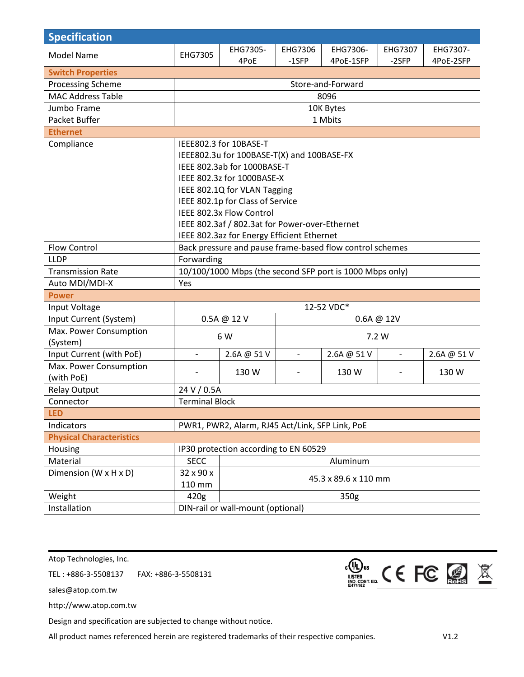| <b>Specification</b>            |                                                          |                                                |                |             |                |             |
|---------------------------------|----------------------------------------------------------|------------------------------------------------|----------------|-------------|----------------|-------------|
| <b>Model Name</b>               | EHG7305                                                  | EHG7305-                                       | EHG7306        | EHG7306-    | EHG7307        | EHG7307-    |
|                                 |                                                          | 4PoE                                           | $-1$ SFP       | 4PoE-1SFP   | -2SFP          | 4PoE-2SFP   |
| <b>Switch Properties</b>        |                                                          |                                                |                |             |                |             |
| Processing Scheme               | Store-and-Forward                                        |                                                |                |             |                |             |
| <b>MAC Address Table</b>        |                                                          |                                                |                | 8096        |                |             |
| Jumbo Frame                     |                                                          |                                                |                | 10K Bytes   |                |             |
| Packet Buffer                   | 1 Mbits                                                  |                                                |                |             |                |             |
| <b>Ethernet</b>                 |                                                          |                                                |                |             |                |             |
| Compliance                      | IEEE802.3 for 10BASE-T                                   |                                                |                |             |                |             |
|                                 | IEEE802.3u for 100BASE-T(X) and 100BASE-FX               |                                                |                |             |                |             |
|                                 | IEEE 802.3ab for 1000BASE-T                              |                                                |                |             |                |             |
|                                 |                                                          | IEEE 802.3z for 1000BASE-X                     |                |             |                |             |
|                                 | IEEE 802.1Q for VLAN Tagging                             |                                                |                |             |                |             |
|                                 |                                                          | IEEE 802.1p for Class of Service               |                |             |                |             |
|                                 |                                                          | IEEE 802.3x Flow Control                       |                |             |                |             |
|                                 |                                                          | IEEE 802.3af / 802.3at for Power-over-Ethernet |                |             |                |             |
|                                 | IEEE 802.3az for Energy Efficient Ethernet               |                                                |                |             |                |             |
| <b>Flow Control</b>             | Back pressure and pause frame-based flow control schemes |                                                |                |             |                |             |
| <b>LLDP</b>                     | Forwarding                                               |                                                |                |             |                |             |
| <b>Transmission Rate</b>        | 10/100/1000 Mbps (the second SFP port is 1000 Mbps only) |                                                |                |             |                |             |
| Auto MDI/MDI-X                  | Yes                                                      |                                                |                |             |                |             |
| <b>Power</b>                    |                                                          |                                                |                |             |                |             |
| Input Voltage                   | 12-52 VDC*                                               |                                                |                |             |                |             |
| Input Current (System)          | 0.5A @ 12 V<br>0.6A @ 12V                                |                                                |                |             |                |             |
| Max. Power Consumption          | 6 W                                                      |                                                | 7.2 W          |             |                |             |
| (System)                        |                                                          |                                                |                |             |                |             |
| Input Current (with PoE)        | $\overline{\phantom{0}}$                                 | 2.6A @ 51 V                                    | $\blacksquare$ | 2.6A @ 51 V | $\blacksquare$ | 2.6A @ 51 V |
| Max. Power Consumption          |                                                          | 130 W                                          |                | 130 W       |                | 130 W       |
| (with PoE)                      |                                                          |                                                |                |             |                |             |
| <b>Relay Output</b>             | 24 V / 0.5A                                              |                                                |                |             |                |             |
| Connector                       | <b>Terminal Block</b>                                    |                                                |                |             |                |             |
| <b>LED</b>                      |                                                          |                                                |                |             |                |             |
| Indicators                      | PWR1, PWR2, Alarm, RJ45 Act/Link, SFP Link, PoE          |                                                |                |             |                |             |
| <b>Physical Characteristics</b> |                                                          |                                                |                |             |                |             |
| Housing                         | IP30 protection according to EN 60529                    |                                                |                |             |                |             |
| Material                        | <b>SECC</b><br>Aluminum                                  |                                                |                |             |                |             |
| Dimension (W x H x D)           | 32 x 90 x<br>45.3 x 89.6 x 110 mm                        |                                                |                |             |                |             |
|                                 | 110 mm                                                   |                                                |                |             |                |             |
| Weight                          | 420g<br>350g                                             |                                                |                |             |                |             |
| Installation                    | DIN-rail or wall-mount (optional)                        |                                                |                |             |                |             |

Atop Technologies, Inc.

TEL : +886-3-5508137 FAX: +886-3-5508131

sales@atop.com.tw

http://www.atop.com.tw

Design and specification are subjected to change without notice.

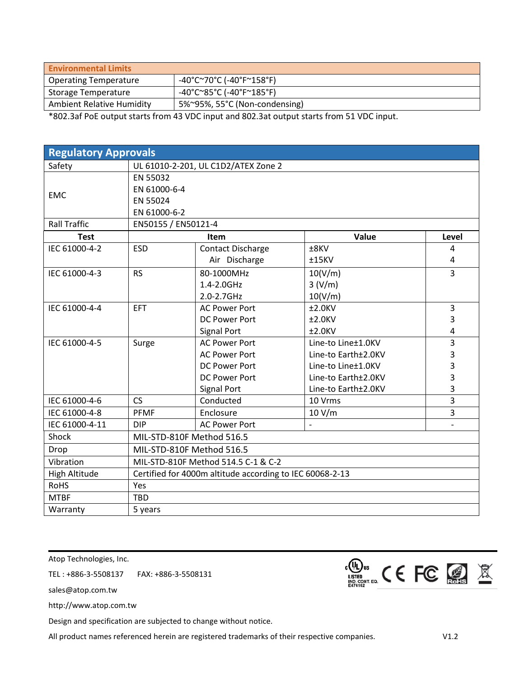| <b>Environmental Limits</b>      |                               |
|----------------------------------|-------------------------------|
| Operating Temperature            | -40°C~70°C (-40°F~158°F)      |
| Storage Temperature              | -40°C~85°C (-40°F~185°F)      |
| <b>Ambient Relative Humidity</b> | 5%~95%, 55°C (Non-condensing) |

\*802.3af PoE output starts from 43 VDC input and 802.3at output starts from 51 VDC input.

| <b>Regulatory Approvals</b> |                                                          |                          |                          |                |  |  |
|-----------------------------|----------------------------------------------------------|--------------------------|--------------------------|----------------|--|--|
| Safety                      | UL 61010-2-201, UL C1D2/ATEX Zone 2                      |                          |                          |                |  |  |
|                             | EN 55032                                                 |                          |                          |                |  |  |
| <b>EMC</b>                  | EN 61000-6-4                                             |                          |                          |                |  |  |
|                             | EN 55024                                                 |                          |                          |                |  |  |
|                             | EN 61000-6-2                                             |                          |                          |                |  |  |
| <b>Rall Traffic</b>         | EN50155 / EN50121-4                                      |                          |                          |                |  |  |
| <b>Test</b>                 |                                                          | Item                     | Value                    | Level          |  |  |
| IEC 61000-4-2               | <b>ESD</b>                                               | <b>Contact Discharge</b> | ±8KV                     | 4              |  |  |
|                             |                                                          | Air Discharge            | ±15KV                    | 4              |  |  |
| IEC 61000-4-3               | <b>RS</b>                                                | 80-1000MHz               | 10(V/m)                  | $\overline{3}$ |  |  |
|                             |                                                          | 1.4-2.0GHz               | 3 (V/m)                  |                |  |  |
|                             |                                                          | 2.0-2.7GHz               | 10(V/m)                  |                |  |  |
| IEC 61000-4-4               | <b>EFT</b>                                               | <b>AC Power Port</b>     | $±2.0$ KV                | 3              |  |  |
|                             |                                                          | <b>DC Power Port</b>     | $±2.0$ KV                | 3              |  |  |
|                             |                                                          | <b>Signal Port</b>       | $±2.0$ KV                | 4              |  |  |
| IEC 61000-4-5               | Surge                                                    | <b>AC Power Port</b>     | Line-to Line±1.0KV       | 3              |  |  |
|                             |                                                          | <b>AC Power Port</b>     | Line-to Earth±2.0KV      | 3              |  |  |
|                             |                                                          | <b>DC Power Port</b>     | Line-to Line±1.0KV       | 3              |  |  |
|                             |                                                          | <b>DC Power Port</b>     | Line-to Earth±2.0KV      | 3              |  |  |
|                             |                                                          | <b>Signal Port</b>       | Line-to Earth±2.0KV      | 3              |  |  |
| IEC 61000-4-6               | <b>CS</b>                                                | Conducted                | 10 Vrms                  | $\overline{3}$ |  |  |
| IEC 61000-4-8               | <b>PFMF</b>                                              | Enclosure                | 10 V/m                   | 3              |  |  |
| IEC 61000-4-11              | <b>DIP</b>                                               | <b>AC Power Port</b>     | $\overline{\phantom{a}}$ | $\overline{a}$ |  |  |
| Shock                       | MIL-STD-810F Method 516.5                                |                          |                          |                |  |  |
| Drop                        | MIL-STD-810F Method 516.5                                |                          |                          |                |  |  |
| Vibration                   | MIL-STD-810F Method 514.5 C-1 & C-2                      |                          |                          |                |  |  |
| High Altitude               | Certified for 4000m altitude according to IEC 60068-2-13 |                          |                          |                |  |  |
| <b>RoHS</b>                 | Yes                                                      |                          |                          |                |  |  |
| <b>MTBF</b>                 | <b>TBD</b>                                               |                          |                          |                |  |  |
| Warranty                    | 5 years                                                  |                          |                          |                |  |  |

Atop Technologies, Inc.

TEL : +886-3-5508137 FAX: +886-3-5508131

sales@atop.com.tw

http://www.atop.com.tw

Design and specification are subjected to change without notice.